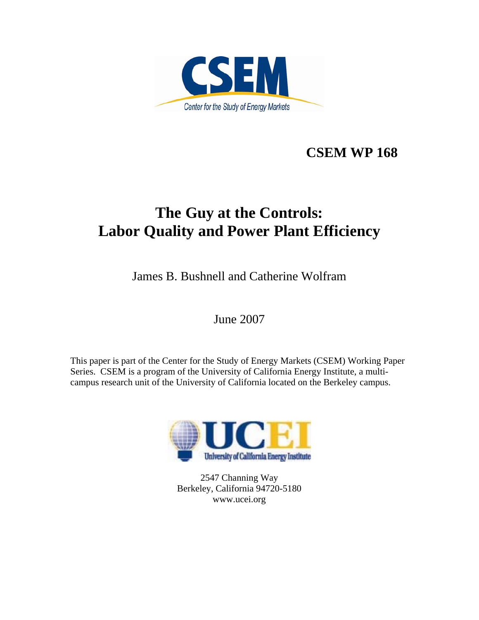

# **CSEM WP 168**

# **The Guy at the Controls: Labor Quality and Power Plant Efficiency**

James B. Bushnell and Catherine Wolfram

June 2007

This paper is part of the Center for the Study of Energy Markets (CSEM) Working Paper Series. CSEM is a program of the University of California Energy Institute, a multicampus research unit of the University of California located on the Berkeley campus.



2547 Channing Way Berkeley, California 94720-5180 www.ucei.org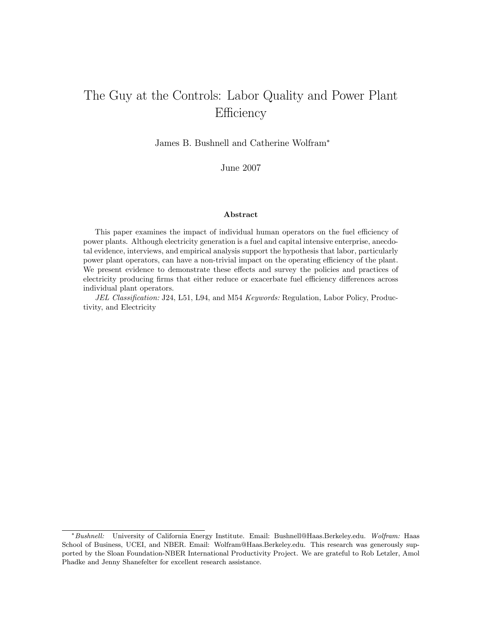## The Guy at the Controls: Labor Quality and Power Plant Efficiency

James B. Bushnell and Catherine Wolfram

June 2007

#### Abstract

This paper examines the impact of individual human operators on the fuel efficiency of power plants. Although electricity generation is a fuel and capital intensive enterprise, anecdotal evidence, interviews, and empirical analysis support the hypothesis that labor, particularly power plant operators, can have a non-trivial impact on the operating efficiency of the plant. We present evidence to demonstrate these effects and survey the policies and practices of electricity producing firms that either reduce or exacerbate fuel efficiency differences across individual plant operators.

JEL Classification: J24, L51, L94, and M54 Keywords: Regulation, Labor Policy, Productivity, and Electricity

Bushnell: University of California Energy Institute. Email: Bushnell@Haas.Berkeley.edu. Wolfram: Haas School of Business, UCEI, and NBER. Email: Wolfram@Haas.Berkeley.edu. This research was generously supported by the Sloan Foundation-NBER International Productivity Project. We are grateful to Rob Letzler, Amol Phadke and Jenny Shanefelter for excellent research assistance.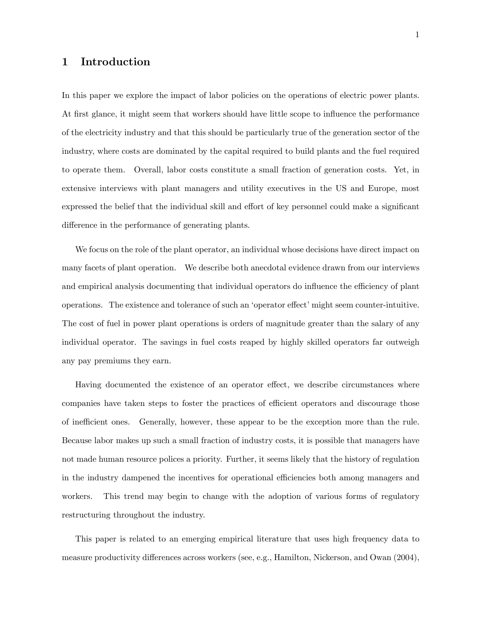## 1 Introduction

In this paper we explore the impact of labor policies on the operations of electric power plants. At first glance, it might seem that workers should have little scope to influence the performance of the electricity industry and that this should be particularly true of the generation sector of the industry, where costs are dominated by the capital required to build plants and the fuel required to operate them. Overall, labor costs constitute a small fraction of generation costs. Yet, in extensive interviews with plant managers and utility executives in the US and Europe, most expressed the belief that the individual skill and effort of key personnel could make a significant difference in the performance of generating plants.

We focus on the role of the plant operator, an individual whose decisions have direct impact on many facets of plant operation. We describe both anecdotal evidence drawn from our interviews and empirical analysis documenting that individual operators do influence the efficiency of plant operations. The existence and tolerance of such an 'operator effect' might seem counter-intuitive. The cost of fuel in power plant operations is orders of magnitude greater than the salary of any individual operator. The savings in fuel costs reaped by highly skilled operators far outweigh any pay premiums they earn.

Having documented the existence of an operator effect, we describe circumstances where companies have taken steps to foster the practices of efficient operators and discourage those of inecient ones. Generally, however, these appear to be the exception more than the rule. Because labor makes up such a small fraction of industry costs, it is possible that managers have not made human resource polices a priority. Further, it seems likely that the history of regulation in the industry dampened the incentives for operational efficiencies both among managers and workers. This trend may begin to change with the adoption of various forms of regulatory restructuring throughout the industry.

This paper is related to an emerging empirical literature that uses high frequency data to measure productivity differences across workers (see, e.g., Hamilton, Nickerson, and Owan (2004),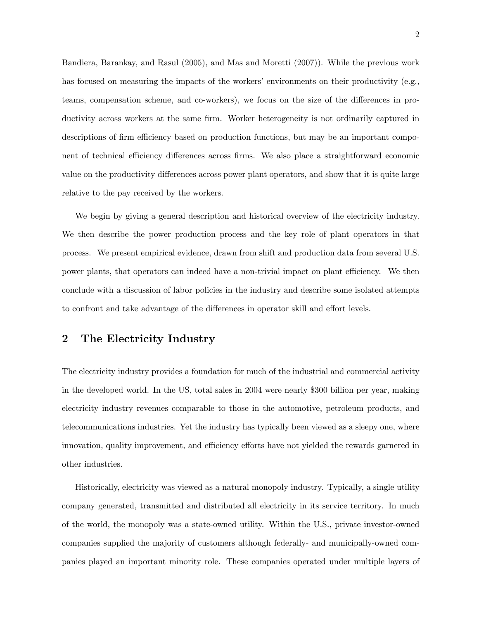Bandiera, Barankay, and Rasul (2005), and Mas and Moretti (2007)). While the previous work has focused on measuring the impacts of the workers' environments on their productivity (e.g., teams, compensation scheme, and co-workers), we focus on the size of the differences in productivity across workers at the same firm. Worker heterogeneity is not ordinarily captured in descriptions of firm efficiency based on production functions, but may be an important component of technical efficiency differences across firms. We also place a straightforward economic value on the productivity differences across power plant operators, and show that it is quite large relative to the pay received by the workers.

We begin by giving a general description and historical overview of the electricity industry. We then describe the power production process and the key role of plant operators in that process. We present empirical evidence, drawn from shift and production data from several U.S. power plants, that operators can indeed have a non-trivial impact on plant efficiency. We then conclude with a discussion of labor policies in the industry and describe some isolated attempts to confront and take advantage of the differences in operator skill and effort levels.

## 2 The Electricity Industry

The electricity industry provides a foundation for much of the industrial and commercial activity in the developed world. In the US, total sales in 2004 were nearly \$300 billion per year, making electricity industry revenues comparable to those in the automotive, petroleum products, and telecommunications industries. Yet the industry has typically been viewed as a sleepy one, where innovation, quality improvement, and efficiency efforts have not yielded the rewards garnered in other industries.

Historically, electricity was viewed as a natural monopoly industry. Typically, a single utility company generated, transmitted and distributed all electricity in its service territory. In much of the world, the monopoly was a state-owned utility. Within the U.S., private investor-owned companies supplied the majority of customers although federally- and municipally-owned companies played an important minority role. These companies operated under multiple layers of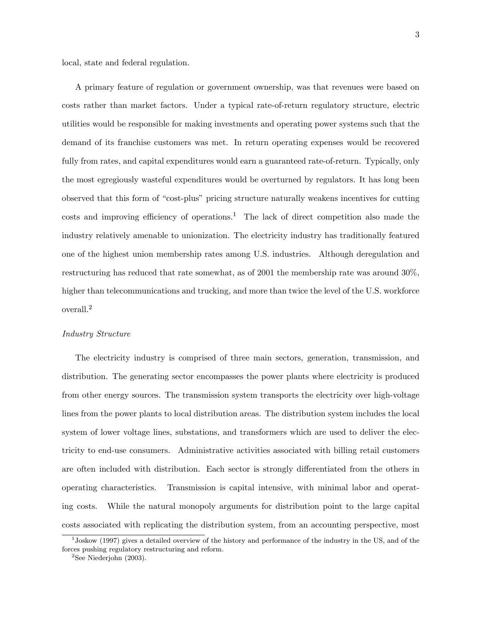local, state and federal regulation.

A primary feature of regulation or government ownership, was that revenues were based on costs rather than market factors. Under a typical rate-of-return regulatory structure, electric utilities would be responsible for making investments and operating power systems such that the demand of its franchise customers was met. In return operating expenses would be recovered fully from rates, and capital expenditures would earn a guaranteed rate-of-return. Typically, only the most egregiously wasteful expenditures would be overturned by regulators. It has long been observed that this form of \cost-plus" pricing structure naturally weakens incentives for cutting  $costs$  and improving efficiency of operations.<sup>1</sup> The lack of direct competition also made the industry relatively amenable to unionization. The electricity industry has traditionally featured one of the highest union membership rates among U.S. industries. Although deregulation and restructuring has reduced that rate somewhat, as of 2001 the membership rate was around 30%, higher than telecommunications and trucking, and more than twice the level of the U.S. workforce overall.<sup>2</sup>

#### Industry Structure

The electricity industry is comprised of three main sectors, generation, transmission, and distribution. The generating sector encompasses the power plants where electricity is produced from other energy sources. The transmission system transports the electricity over high-voltage lines from the power plants to local distribution areas. The distribution system includes the local system of lower voltage lines, substations, and transformers which are used to deliver the electricity to end-use consumers. Administrative activities associated with billing retail customers are often included with distribution. Each sector is strongly differentiated from the others in operating characteristics. Transmission is capital intensive, with minimal labor and operating costs. While the natural monopoly arguments for distribution point to the large capital costs associated with replicating the distribution system, from an accounting perspective, most

<sup>1</sup> Joskow (1997) gives a detailed overview of the history and performance of the industry in the US, and of the forces pushing regulatory restructuring and reform.

 $2$ See Niederjohn (2003).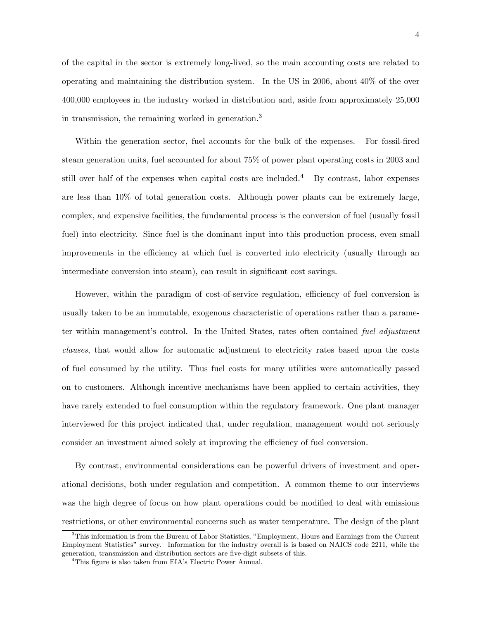of the capital in the sector is extremely long-lived, so the main accounting costs are related to operating and maintaining the distribution system. In the US in 2006, about 40% of the over 400,000 employees in the industry worked in distribution and, aside from approximately 25,000 in transmission, the remaining worked in generation.<sup>3</sup>

Within the generation sector, fuel accounts for the bulk of the expenses. For fossil-fired steam generation units, fuel accounted for about 75% of power plant operating costs in 2003 and still over half of the expenses when capital costs are included.<sup>4</sup> By contrast, labor expenses are less than 10% of total generation costs. Although power plants can be extremely large, complex, and expensive facilities, the fundamental process is the conversion of fuel (usually fossil fuel) into electricity. Since fuel is the dominant input into this production process, even small improvements in the efficiency at which fuel is converted into electricity (usually through an intermediate conversion into steam), can result in signicant cost savings.

However, within the paradigm of cost-of-service regulation, efficiency of fuel conversion is usually taken to be an immutable, exogenous characteristic of operations rather than a parameter within management's control. In the United States, rates often contained fuel adjustment clauses, that would allow for automatic adjustment to electricity rates based upon the costs of fuel consumed by the utility. Thus fuel costs for many utilities were automatically passed on to customers. Although incentive mechanisms have been applied to certain activities, they have rarely extended to fuel consumption within the regulatory framework. One plant manager interviewed for this project indicated that, under regulation, management would not seriously consider an investment aimed solely at improving the efficiency of fuel conversion.

By contrast, environmental considerations can be powerful drivers of investment and operational decisions, both under regulation and competition. A common theme to our interviews was the high degree of focus on how plant operations could be modified to deal with emissions restrictions, or other environmental concerns such as water temperature. The design of the plant

<sup>3</sup>This information is from the Bureau of Labor Statistics, "Employment, Hours and Earnings from the Current Employment Statistics" survey. Information for the industry overall is is based on NAICS code 2211, while the generation, transmission and distribution sectors are ve-digit subsets of this.

<sup>&</sup>lt;sup>4</sup>This figure is also taken from EIA's Electric Power Annual.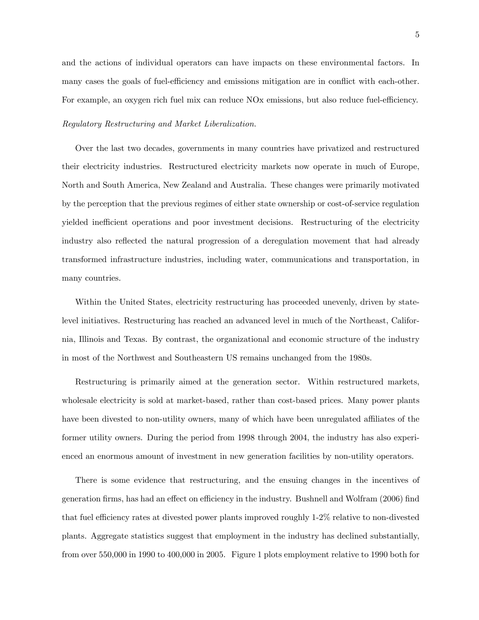and the actions of individual operators can have impacts on these environmental factors. In many cases the goals of fuel-efficiency and emissions mitigation are in conflict with each-other. For example, an oxygen rich fuel mix can reduce NOx emissions, but also reduce fuel-efficiency.

#### Regulatory Restructuring and Market Liberalization.

Over the last two decades, governments in many countries have privatized and restructured their electricity industries. Restructured electricity markets now operate in much of Europe, North and South America, New Zealand and Australia. These changes were primarily motivated by the perception that the previous regimes of either state ownership or cost-of-service regulation yielded inefficient operations and poor investment decisions. Restructuring of the electricity industry also reflected the natural progression of a deregulation movement that had already transformed infrastructure industries, including water, communications and transportation, in many countries.

Within the United States, electricity restructuring has proceeded unevenly, driven by statelevel initiatives. Restructuring has reached an advanced level in much of the Northeast, California, Illinois and Texas. By contrast, the organizational and economic structure of the industry in most of the Northwest and Southeastern US remains unchanged from the 1980s.

Restructuring is primarily aimed at the generation sector. Within restructured markets, wholesale electricity is sold at market-based, rather than cost-based prices. Many power plants have been divested to non-utility owners, many of which have been unregulated affiliates of the former utility owners. During the period from 1998 through 2004, the industry has also experienced an enormous amount of investment in new generation facilities by non-utility operators.

There is some evidence that restructuring, and the ensuing changes in the incentives of generation firms, has had an effect on efficiency in the industry. Bushnell and Wolfram (2006) find that fuel efficiency rates at divested power plants improved roughly  $1-2\%$  relative to non-divested plants. Aggregate statistics suggest that employment in the industry has declined substantially, from over 550,000 in 1990 to 400,000 in 2005. Figure 1 plots employment relative to 1990 both for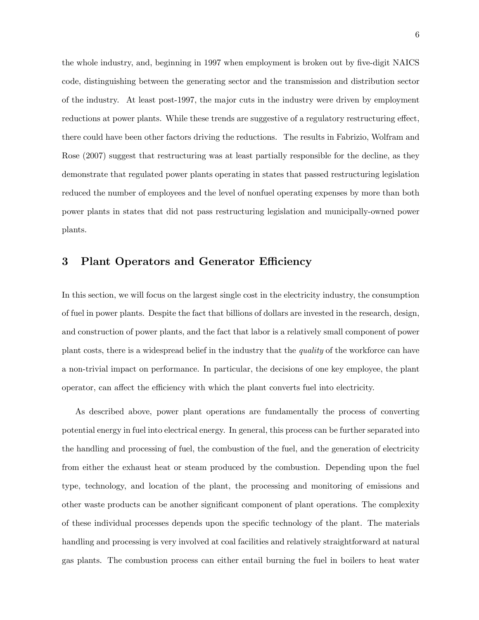the whole industry, and, beginning in 1997 when employment is broken out by five-digit NAICS code, distinguishing between the generating sector and the transmission and distribution sector of the industry. At least post-1997, the major cuts in the industry were driven by employment reductions at power plants. While these trends are suggestive of a regulatory restructuring effect, there could have been other factors driving the reductions. The results in Fabrizio, Wolfram and Rose (2007) suggest that restructuring was at least partially responsible for the decline, as they demonstrate that regulated power plants operating in states that passed restructuring legislation reduced the number of employees and the level of nonfuel operating expenses by more than both power plants in states that did not pass restructuring legislation and municipally-owned power plants.

## 3 Plant Operators and Generator Efficiency

In this section, we will focus on the largest single cost in the electricity industry, the consumption of fuel in power plants. Despite the fact that billions of dollars are invested in the research, design, and construction of power plants, and the fact that labor is a relatively small component of power plant costs, there is a widespread belief in the industry that the quality of the workforce can have a non-trivial impact on performance. In particular, the decisions of one key employee, the plant operator, can affect the efficiency with which the plant converts fuel into electricity.

As described above, power plant operations are fundamentally the process of converting potential energy in fuel into electrical energy. In general, this process can be further separated into the handling and processing of fuel, the combustion of the fuel, and the generation of electricity from either the exhaust heat or steam produced by the combustion. Depending upon the fuel type, technology, and location of the plant, the processing and monitoring of emissions and other waste products can be another signicant component of plant operations. The complexity of these individual processes depends upon the specic technology of the plant. The materials handling and processing is very involved at coal facilities and relatively straightforward at natural gas plants. The combustion process can either entail burning the fuel in boilers to heat water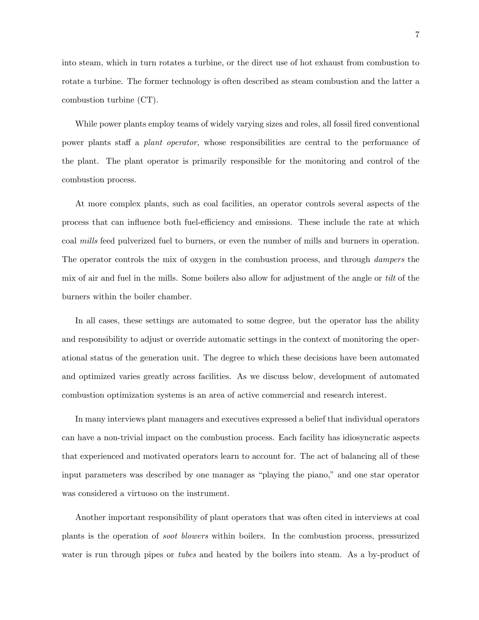into steam, which in turn rotates a turbine, or the direct use of hot exhaust from combustion to rotate a turbine. The former technology is often described as steam combustion and the latter a combustion turbine (CT).

While power plants employ teams of widely varying sizes and roles, all fossil fired conventional power plants staff a *plant operator*, whose responsibilities are central to the performance of the plant. The plant operator is primarily responsible for the monitoring and control of the combustion process.

At more complex plants, such as coal facilities, an operator controls several aspects of the process that can influence both fuel-efficiency and emissions. These include the rate at which coal mills feed pulverized fuel to burners, or even the number of mills and burners in operation. The operator controls the mix of oxygen in the combustion process, and through *dampers* the mix of air and fuel in the mills. Some boilers also allow for adjustment of the angle or tilt of the burners within the boiler chamber.

In all cases, these settings are automated to some degree, but the operator has the ability and responsibility to adjust or override automatic settings in the context of monitoring the operational status of the generation unit. The degree to which these decisions have been automated and optimized varies greatly across facilities. As we discuss below, development of automated combustion optimization systems is an area of active commercial and research interest.

In many interviews plant managers and executives expressed a belief that individual operators can have a non-trivial impact on the combustion process. Each facility has idiosyncratic aspects that experienced and motivated operators learn to account for. The act of balancing all of these input parameters was described by one manager as \playing the piano," and one star operator was considered a virtuoso on the instrument.

Another important responsibility of plant operators that was often cited in interviews at coal plants is the operation of soot blowers within boilers. In the combustion process, pressurized water is run through pipes or *tubes* and heated by the boilers into steam. As a by-product of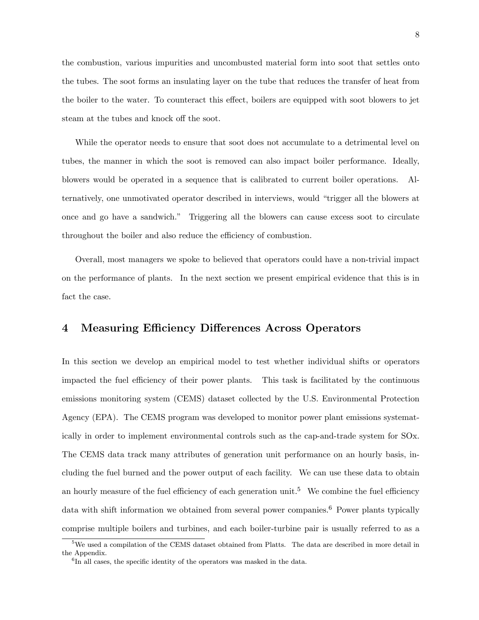the combustion, various impurities and uncombusted material form into soot that settles onto the tubes. The soot forms an insulating layer on the tube that reduces the transfer of heat from the boiler to the water. To counteract this effect, boilers are equipped with soot blowers to jet steam at the tubes and knock off the soot.

While the operator needs to ensure that soot does not accumulate to a detrimental level on tubes, the manner in which the soot is removed can also impact boiler performance. Ideally, blowers would be operated in a sequence that is calibrated to current boiler operations. Alternatively, one unmotivated operator described in interviews, would \trigger all the blowers at once and go have a sandwich." Triggering all the blowers can cause excess soot to circulate throughout the boiler and also reduce the efficiency of combustion.

Overall, most managers we spoke to believed that operators could have a non-trivial impact on the performance of plants. In the next section we present empirical evidence that this is in fact the case.

## 4 Measuring Efficiency Differences Across Operators

In this section we develop an empirical model to test whether individual shifts or operators impacted the fuel efficiency of their power plants. This task is facilitated by the continuous emissions monitoring system (CEMS) dataset collected by the U.S. Environmental Protection Agency (EPA). The CEMS program was developed to monitor power plant emissions systematically in order to implement environmental controls such as the cap-and-trade system for SOx. The CEMS data track many attributes of generation unit performance on an hourly basis, including the fuel burned and the power output of each facility. We can use these data to obtain an hourly measure of the fuel efficiency of each generation unit.<sup>5</sup> We combine the fuel efficiency data with shift information we obtained from several power companies.<sup>6</sup> Power plants typically comprise multiple boilers and turbines, and each boiler-turbine pair is usually referred to as a

<sup>&</sup>lt;sup>5</sup>We used a compilation of the CEMS dataset obtained from Platts. The data are described in more detail in the Appendix.

 ${}^{6}$ In all cases, the specific identity of the operators was masked in the data.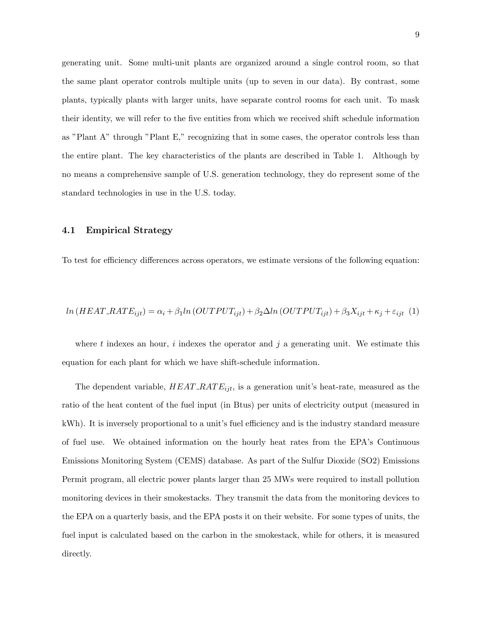generating unit. Some multi-unit plants are organized around a single control room, so that the same plant operator controls multiple units (up to seven in our data). By contrast, some plants, typically plants with larger units, have separate control rooms for each unit. To mask their identity, we will refer to the five entities from which we received shift schedule information as "Plant A" through "Plant E," recognizing that in some cases, the operator controls less than the entire plant. The key characteristics of the plants are described in Table 1. Although by no means a comprehensive sample of U.S. generation technology, they do represent some of the standard technologies in use in the U.S. today.

#### 4.1 Empirical Strategy

To test for efficiency differences across operators, we estimate versions of the following equation:

$$
ln(HEAT\_RATE_{ijt}) = \alpha_i + \beta_1 ln\left(OUTPUT_{ijt}) + \beta_2 \Delta ln\left(OUTPUT_{ijt}) + \beta_3 X_{ijt} + \kappa_j + \varepsilon_{ijt} \right)
$$

where t indexes an hour, i indexes the operator and j a generating unit. We estimate this equation for each plant for which we have shift-schedule information.

The dependent variable,  $HEAT\_RATE_{ijt}$ , is a generation unit's heat-rate, measured as the ratio of the heat content of the fuel input (in Btus) per units of electricity output (measured in kWh). It is inversely proportional to a unit's fuel efficiency and is the industry standard measure of fuel use. We obtained information on the hourly heat rates from the EPA's Continuous Emissions Monitoring System (CEMS) database. As part of the Sulfur Dioxide (SO2) Emissions Permit program, all electric power plants larger than 25 MWs were required to install pollution monitoring devices in their smokestacks. They transmit the data from the monitoring devices to the EPA on a quarterly basis, and the EPA posts it on their website. For some types of units, the fuel input is calculated based on the carbon in the smokestack, while for others, it is measured directly.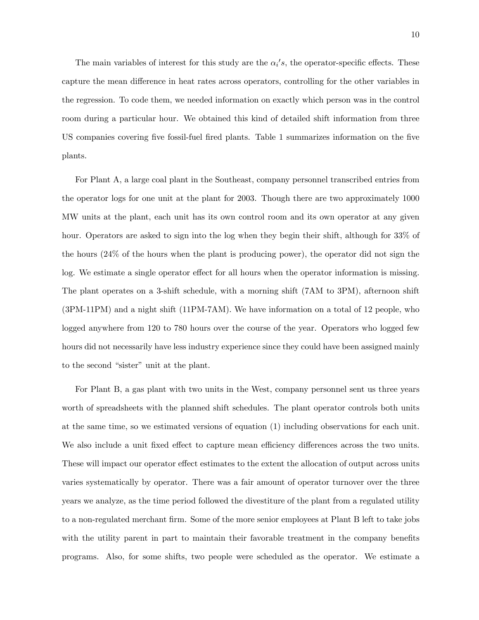The main variables of interest for this study are the  $\alpha_i$ 's, the operator-specific effects. These capture the mean difference in heat rates across operators, controlling for the other variables in the regression. To code them, we needed information on exactly which person was in the control room during a particular hour. We obtained this kind of detailed shift information from three US companies covering five fossil-fuel fired plants. Table 1 summarizes information on the five plants.

For Plant A, a large coal plant in the Southeast, company personnel transcribed entries from the operator logs for one unit at the plant for 2003. Though there are two approximately 1000 MW units at the plant, each unit has its own control room and its own operator at any given hour. Operators are asked to sign into the log when they begin their shift, although for  $33\%$  of the hours (24% of the hours when the plant is producing power), the operator did not sign the log. We estimate a single operator effect for all hours when the operator information is missing. The plant operates on a 3-shift schedule, with a morning shift (7AM to 3PM), afternoon shift (3PM-11PM) and a night shift (11PM-7AM). We have information on a total of 12 people, who logged anywhere from 120 to 780 hours over the course of the year. Operators who logged few hours did not necessarily have less industry experience since they could have been assigned mainly to the second "sister" unit at the plant.

For Plant B, a gas plant with two units in the West, company personnel sent us three years worth of spreadsheets with the planned shift schedules. The plant operator controls both units at the same time, so we estimated versions of equation (1) including observations for each unit. We also include a unit fixed effect to capture mean efficiency differences across the two units. These will impact our operator effect estimates to the extent the allocation of output across units varies systematically by operator. There was a fair amount of operator turnover over the three years we analyze, as the time period followed the divestiture of the plant from a regulated utility to a non-regulated merchant firm. Some of the more senior employees at Plant B left to take jobs with the utility parent in part to maintain their favorable treatment in the company benefits programs. Also, for some shifts, two people were scheduled as the operator. We estimate a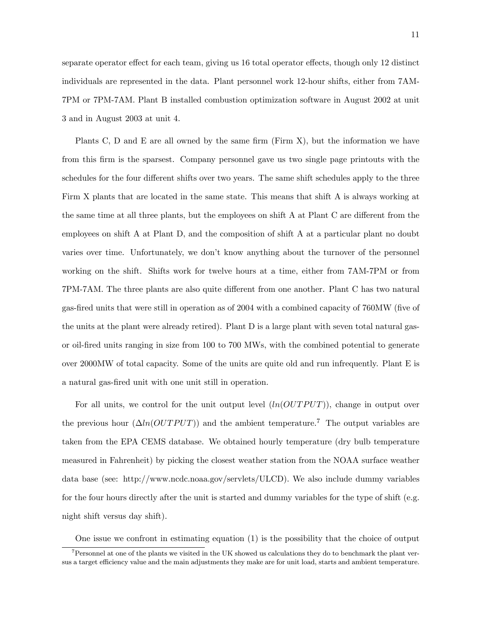separate operator effect for each team, giving us  $16$  total operator effects, though only  $12$  distinct individuals are represented in the data. Plant personnel work 12-hour shifts, either from 7AM-7PM or 7PM-7AM. Plant B installed combustion optimization software in August 2002 at unit 3 and in August 2003 at unit 4.

Plants C,  $D$  and  $E$  are all owned by the same firm (Firm X), but the information we have from this firm is the sparsest. Company personnel gave us two single page printouts with the schedules for the four different shifts over two years. The same shift schedules apply to the three Firm X plants that are located in the same state. This means that shift A is always working at the same time at all three plants, but the employees on shift A at Plant C are different from the employees on shift A at Plant D, and the composition of shift A at a particular plant no doubt varies over time. Unfortunately, we don't know anything about the turnover of the personnel working on the shift. Shifts work for twelve hours at a time, either from 7AM-7PM or from 7PM-7AM. The three plants are also quite dierent from one another. Plant C has two natural gas-fired units that were still in operation as of 2004 with a combined capacity of 760 MW (five of the units at the plant were already retired). Plant D is a large plant with seven total natural gasor oil-fired units ranging in size from 100 to 700 MWs, with the combined potential to generate over 2000MW of total capacity. Some of the units are quite old and run infrequently. Plant E is a natural gas-fired unit with one unit still in operation.

For all units, we control for the unit output level  $(ln(OUTPUT))$ , change in output over the previous hour  $(\Delta ln(OUTPUT))$  and the ambient temperature.<sup>7</sup> The output variables are taken from the EPA CEMS database. We obtained hourly temperature (dry bulb temperature measured in Fahrenheit) by picking the closest weather station from the NOAA surface weather data base (see: http://www.ncdc.noaa.gov/servlets/ULCD). We also include dummy variables for the four hours directly after the unit is started and dummy variables for the type of shift (e.g. night shift versus day shift).

One issue we confront in estimating equation (1) is the possibility that the choice of output

<sup>7</sup>Personnel at one of the plants we visited in the UK showed us calculations they do to benchmark the plant versus a target efficiency value and the main adjustments they make are for unit load, starts and ambient temperature.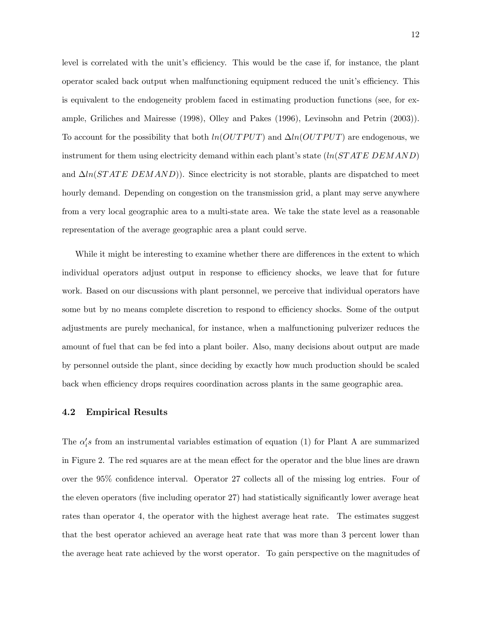level is correlated with the unit's efficiency. This would be the case if, for instance, the plant operator scaled back output when malfunctioning equipment reduced the unit's efficiency. This is equivalent to the endogeneity problem faced in estimating production functions (see, for example, Griliches and Mairesse (1998), Olley and Pakes (1996), Levinsohn and Petrin (2003)). To account for the possibility that both  $ln(OUTPUT)$  and  $\Delta ln(OUTPUT)$  are endogenous, we instrument for them using electricity demand within each plant's state  $(ln(STATEDEMAND)$ and  $\Delta ln(STATE DEMAND)$ ). Since electricity is not storable, plants are dispatched to meet hourly demand. Depending on congestion on the transmission grid, a plant may serve anywhere from a very local geographic area to a multi-state area. We take the state level as a reasonable representation of the average geographic area a plant could serve.

While it might be interesting to examine whether there are differences in the extent to which individual operators adjust output in response to efficiency shocks, we leave that for future work. Based on our discussions with plant personnel, we perceive that individual operators have some but by no means complete discretion to respond to efficiency shocks. Some of the output adjustments are purely mechanical, for instance, when a malfunctioning pulverizer reduces the amount of fuel that can be fed into a plant boiler. Also, many decisions about output are made by personnel outside the plant, since deciding by exactly how much production should be scaled back when efficiency drops requires coordination across plants in the same geographic area.

#### 4.2 Empirical Results

The  $\alpha_i$ 's from an instrumental variables estimation of equation (1) for Plant A are summarized in Figure 2. The red squares are at the mean effect for the operator and the blue lines are drawn over the 95% condence interval. Operator 27 collects all of the missing log entries. Four of the eleven operators (five including operator 27) had statistically significantly lower average heat rates than operator 4, the operator with the highest average heat rate. The estimates suggest that the best operator achieved an average heat rate that was more than 3 percent lower than the average heat rate achieved by the worst operator. To gain perspective on the magnitudes of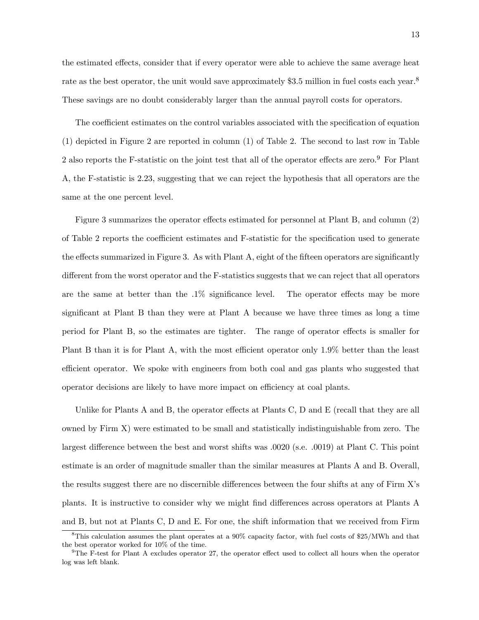the estimated effects, consider that if every operator were able to achieve the same average heat rate as the best operator, the unit would save approximately \$3.5 million in fuel costs each year.<sup>8</sup> These savings are no doubt considerably larger than the annual payroll costs for operators.

The coefficient estimates on the control variables associated with the specification of equation (1) depicted in Figure 2 are reported in column (1) of Table 2. The second to last row in Table 2 also reports the F-statistic on the joint test that all of the operator effects are zero.<sup>9</sup> For Plant A, the F-statistic is 2.23, suggesting that we can reject the hypothesis that all operators are the same at the one percent level.

Figure 3 summarizes the operator effects estimated for personnel at Plant B, and column  $(2)$ of Table 2 reports the coefficient estimates and F-statistic for the specification used to generate the effects summarized in Figure 3. As with Plant  $A$ , eight of the fifteen operators are significantly different from the worst operator and the F-statistics suggests that we can reject that all operators are the same at better than the  $.1\%$  significance level. The operator effects may be more signicant at Plant B than they were at Plant A because we have three times as long a time period for Plant B, so the estimates are tighter. The range of operator effects is smaller for Plant B than it is for Plant A, with the most efficient operator only 1.9% better than the least efficient operator. We spoke with engineers from both coal and gas plants who suggested that operator decisions are likely to have more impact on eciency at coal plants.

Unlike for Plants A and B, the operator effects at Plants C,  $D$  and  $E$  (recall that they are all owned by Firm X) were estimated to be small and statistically indistinguishable from zero. The largest difference between the best and worst shifts was .0020 (s.e. .0019) at Plant C. This point estimate is an order of magnitude smaller than the similar measures at Plants A and B. Overall, the results suggest there are no discernible differences between the four shifts at any of Firm X's plants. It is instructive to consider why we might find differences across operators at Plants A and B, but not at Plants C, D and E. For one, the shift information that we received from Firm

 $8$ This calculation assumes the plant operates at a 90% capacity factor, with fuel costs of \$25/MWh and that the best operator worked for 10% of the time.

 $9$ The F-test for Plant A excludes operator 27, the operator effect used to collect all hours when the operator log was left blank.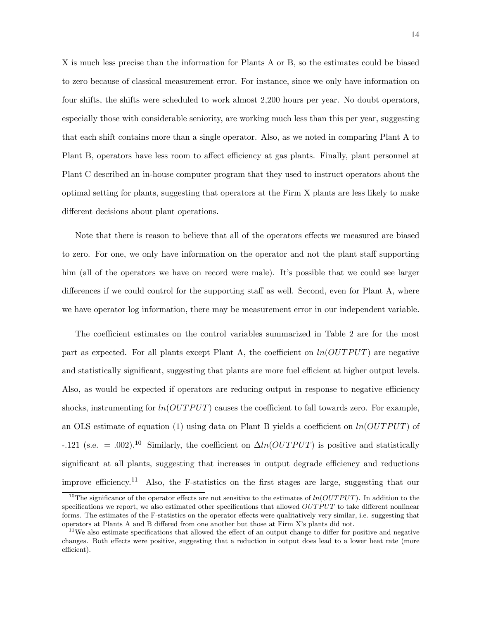X is much less precise than the information for Plants A or B, so the estimates could be biased to zero because of classical measurement error. For instance, since we only have information on four shifts, the shifts were scheduled to work almost 2,200 hours per year. No doubt operators, especially those with considerable seniority, are working much less than this per year, suggesting that each shift contains more than a single operator. Also, as we noted in comparing Plant A to Plant B, operators have less room to affect efficiency at gas plants. Finally, plant personnel at Plant C described an in-house computer program that they used to instruct operators about the optimal setting for plants, suggesting that operators at the Firm X plants are less likely to make different decisions about plant operations.

Note that there is reason to believe that all of the operators effects we measured are biased to zero. For one, we only have information on the operator and not the plant staff supporting him (all of the operators we have on record were male). It's possible that we could see larger differences if we could control for the supporting staff as well. Second, even for Plant  $A$ , where we have operator log information, there may be measurement error in our independent variable.

The coefficient estimates on the control variables summarized in Table 2 are for the most part as expected. For all plants except Plant A, the coefficient on  $ln(OUTPUT)$  are negative and statistically significant, suggesting that plants are more fuel efficient at higher output levels. Also, as would be expected if operators are reducing output in response to negative efficiency shocks, instrumenting for  $ln(OUTPUT)$  causes the coefficient to fall towards zero. For example, an OLS estimate of equation (1) using data on Plant B yields a coefficient on  $ln(OUTPUT)$  of -.121 (s.e. = .002).<sup>10</sup> Similarly, the coefficient on  $\Delta ln(OUTPUT)$  is positive and statistically significant at all plants, suggesting that increases in output degrade efficiency and reductions improve efficiency.<sup>11</sup> Also, the F-statistics on the first stages are large, suggesting that our

<sup>&</sup>lt;sup>10</sup>The significance of the operator effects are not sensitive to the estimates of  $ln(OUTPUT)$ . In addition to the specifications we report, we also estimated other specifications that allowed  $OUTPUT$  to take different nonlinear forms. The estimates of the F-statistics on the operator effects were qualitatively very similar, i.e. suggesting that operators at Plants A and B differed from one another but those at Firm X's plants did not.

 $11$ We also estimate specifications that allowed the effect of an output change to differ for positive and negative changes. Both effects were positive, suggesting that a reduction in output does lead to a lower heat rate (more efficient).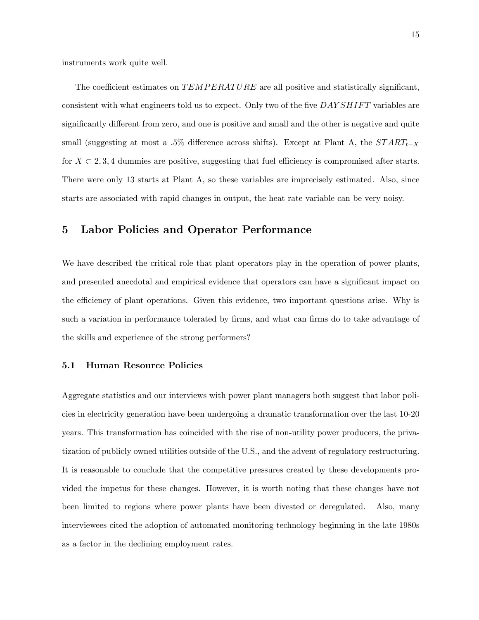instruments work quite well.

The coefficient estimates on  $TEMPERATURE$  are all positive and statistically significant, consistent with what engineers told us to expect. Only two of the five  $DAYSHIFT$  variables are significantly different from zero, and one is positive and small and the other is negative and quite small (suggesting at most a .5% difference across shifts). Except at Plant A, the  $START_{t-X}$ for  $X \subset 2, 3, 4$  dummies are positive, suggesting that fuel efficiency is compromised after starts. There were only 13 starts at Plant A, so these variables are imprecisely estimated. Also, since starts are associated with rapid changes in output, the heat rate variable can be very noisy.

### 5 Labor Policies and Operator Performance

We have described the critical role that plant operators play in the operation of power plants, and presented anecdotal and empirical evidence that operators can have a significant impact on the efficiency of plant operations. Given this evidence, two important questions arise. Why is such a variation in performance tolerated by firms, and what can firms do to take advantage of the skills and experience of the strong performers?

#### 5.1 Human Resource Policies

Aggregate statistics and our interviews with power plant managers both suggest that labor policies in electricity generation have been undergoing a dramatic transformation over the last 10-20 years. This transformation has coincided with the rise of non-utility power producers, the privatization of publicly owned utilities outside of the U.S., and the advent of regulatory restructuring. It is reasonable to conclude that the competitive pressures created by these developments provided the impetus for these changes. However, it is worth noting that these changes have not been limited to regions where power plants have been divested or deregulated. Also, many interviewees cited the adoption of automated monitoring technology beginning in the late 1980s as a factor in the declining employment rates.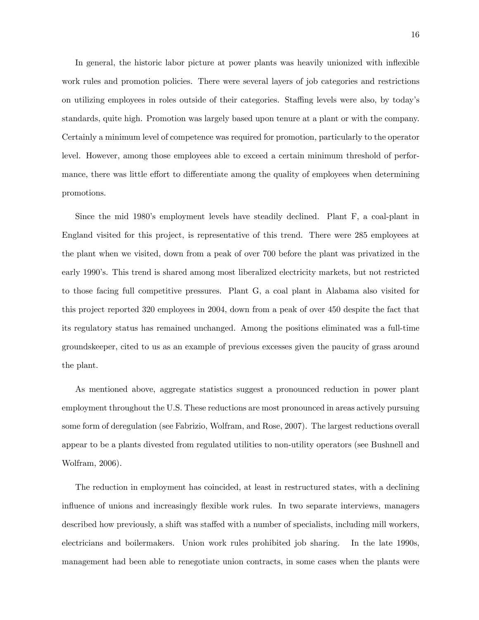In general, the historic labor picture at power plants was heavily unionized with inflexible work rules and promotion policies. There were several layers of job categories and restrictions on utilizing employees in roles outside of their categories. Staffing levels were also, by today's standards, quite high. Promotion was largely based upon tenure at a plant or with the company. Certainly a minimum level of competence was required for promotion, particularly to the operator level. However, among those employees able to exceed a certain minimum threshold of performance, there was little effort to differentiate among the quality of employees when determining promotions.

Since the mid 1980's employment levels have steadily declined. Plant F, a coal-plant in England visited for this project, is representative of this trend. There were 285 employees at the plant when we visited, down from a peak of over 700 before the plant was privatized in the early 1990's. This trend is shared among most liberalized electricity markets, but not restricted to those facing full competitive pressures. Plant G, a coal plant in Alabama also visited for this project reported 320 employees in 2004, down from a peak of over 450 despite the fact that its regulatory status has remained unchanged. Among the positions eliminated was a full-time groundskeeper, cited to us as an example of previous excesses given the paucity of grass around the plant.

As mentioned above, aggregate statistics suggest a pronounced reduction in power plant employment throughout the U.S. These reductions are most pronounced in areas actively pursuing some form of deregulation (see Fabrizio, Wolfram, and Rose, 2007). The largest reductions overall appear to be a plants divested from regulated utilities to non-utility operators (see Bushnell and Wolfram, 2006).

The reduction in employment has coincided, at least in restructured states, with a declining influence of unions and increasingly flexible work rules. In two separate interviews, managers described how previously, a shift was staffed with a number of specialists, including mill workers, electricians and boilermakers. Union work rules prohibited job sharing. In the late 1990s, management had been able to renegotiate union contracts, in some cases when the plants were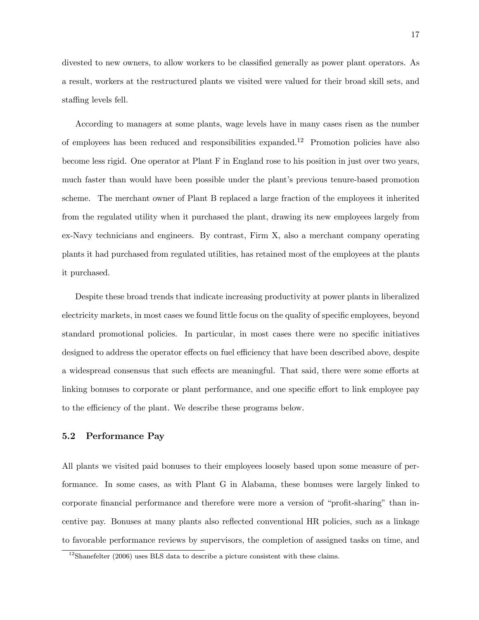divested to new owners, to allow workers to be classied generally as power plant operators. As a result, workers at the restructured plants we visited were valued for their broad skill sets, and staffing levels fell.

According to managers at some plants, wage levels have in many cases risen as the number of employees has been reduced and responsibilities expanded.<sup>12</sup> Promotion policies have also become less rigid. One operator at Plant F in England rose to his position in just over two years, much faster than would have been possible under the plant's previous tenure-based promotion scheme. The merchant owner of Plant B replaced a large fraction of the employees it inherited from the regulated utility when it purchased the plant, drawing its new employees largely from ex-Navy technicians and engineers. By contrast, Firm X, also a merchant company operating plants it had purchased from regulated utilities, has retained most of the employees at the plants it purchased.

Despite these broad trends that indicate increasing productivity at power plants in liberalized electricity markets, in most cases we found little focus on the quality of specic employees, beyond standard promotional policies. In particular, in most cases there were no specific initiatives designed to address the operator effects on fuel efficiency that have been described above, despite a widespread consensus that such effects are meaningful. That said, there were some efforts at linking bonuses to corporate or plant performance, and one specific effort to link employee pay to the efficiency of the plant. We describe these programs below.

#### 5.2 Performance Pay

All plants we visited paid bonuses to their employees loosely based upon some measure of performance. In some cases, as with Plant G in Alabama, these bonuses were largely linked to corporate financial performance and therefore were more a version of "profit-sharing" than incentive pay. Bonuses at many plants also reflected conventional HR policies, such as a linkage to favorable performance reviews by supervisors, the completion of assigned tasks on time, and

 $^{12}$ Shanefelter (2006) uses BLS data to describe a picture consistent with these claims.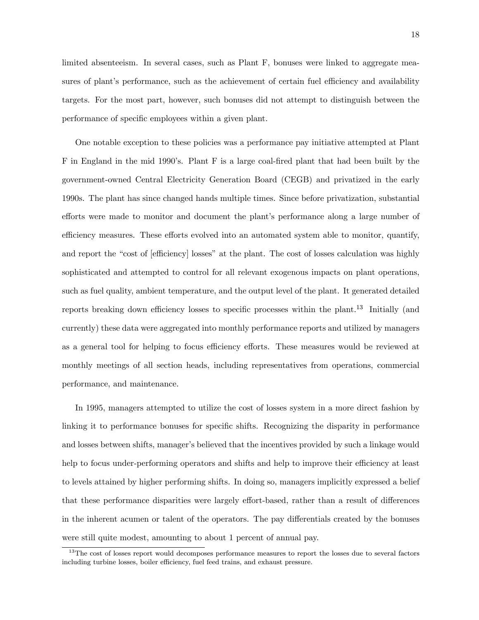limited absenteeism. In several cases, such as Plant F, bonuses were linked to aggregate measures of plant's performance, such as the achievement of certain fuel efficiency and availability targets. For the most part, however, such bonuses did not attempt to distinguish between the performance of specic employees within a given plant.

One notable exception to these policies was a performance pay initiative attempted at Plant F in England in the mid 1990's. Plant F is a large coal-fired plant that had been built by the government-owned Central Electricity Generation Board (CEGB) and privatized in the early 1990s. The plant has since changed hands multiple times. Since before privatization, substantial efforts were made to monitor and document the plant's performance along a large number of efficiency measures. These efforts evolved into an automated system able to monitor, quantify, and report the "cost of [efficiency] losses" at the plant. The cost of losses calculation was highly sophisticated and attempted to control for all relevant exogenous impacts on plant operations, such as fuel quality, ambient temperature, and the output level of the plant. It generated detailed reports breaking down efficiency losses to specific processes within the plant.<sup>13</sup> Initially (and currently) these data were aggregated into monthly performance reports and utilized by managers as a general tool for helping to focus efficiency efforts. These measures would be reviewed at monthly meetings of all section heads, including representatives from operations, commercial performance, and maintenance.

In 1995, managers attempted to utilize the cost of losses system in a more direct fashion by linking it to performance bonuses for specic shifts. Recognizing the disparity in performance and losses between shifts, manager's believed that the incentives provided by such a linkage would help to focus under-performing operators and shifts and help to improve their efficiency at least to levels attained by higher performing shifts. In doing so, managers implicitly expressed a belief that these performance disparities were largely effort-based, rather than a result of differences in the inherent acumen or talent of the operators. The pay differentials created by the bonuses were still quite modest, amounting to about 1 percent of annual pay.

<sup>&</sup>lt;sup>13</sup>The cost of losses report would decomposes performance measures to report the losses due to several factors including turbine losses, boiler efficiency, fuel feed trains, and exhaust pressure.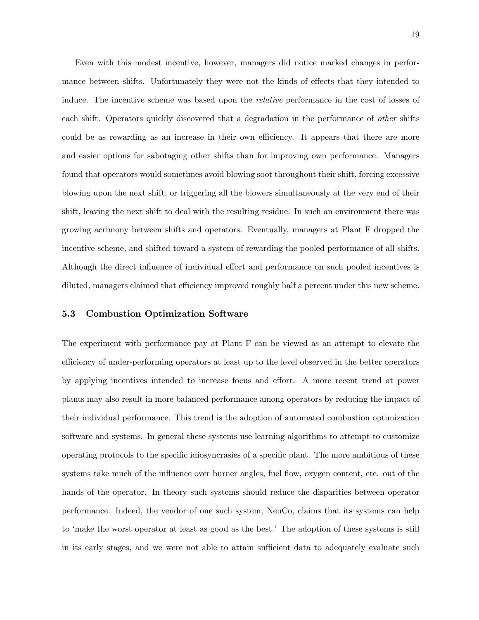Even with this modest incentive, however, managers did notice marked changes in performance between shifts. Unfortunately they were not the kinds of effects that they intended to induce. The incentive scheme was based upon the relative performance in the cost of losses of each shift. Operators quickly discovered that a degradation in the performance of *other* shifts could be as rewarding as an increase in their own efficiency. It appears that there are more and easier options for sabotaging other shifts than for improving own performance. Managers found that operators would sometimes avoid blowing soot throughout their shift, forcing excessive blowing upon the next shift, or triggering all the blowers simultaneously at the very end of their shift, leaving the next shift to deal with the resulting residue. In such an environment there was growing acrimony between shifts and operators. Eventually, managers at Plant F dropped the incentive scheme, and shifted toward a system of rewarding the pooled performance of all shifts. Although the direct influence of individual effort and performance on such pooled incentives is diluted, managers claimed that efficiency improved roughly half a percent under this new scheme.

#### 5.3 Combustion Optimization Software

The experiment with performance pay at Plant F can be viewed as an attempt to elevate the efficiency of under-performing operators at least up to the level observed in the better operators by applying incentives intended to increase focus and effort. A more recent trend at power plants may also result in more balanced performance among operators by reducing the impact of their individual performance. This trend is the adoption of automated combustion optimization software and systems. In general these systems use learning algorithms to attempt to customize operating protocols to the specic idiosyncrasies of a specic plant. The more ambitious of these systems take much of the influence over burner angles, fuel flow, oxygen content, etc. out of the hands of the operator. In theory such systems should reduce the disparities between operator performance. Indeed, the vendor of one such system, NeuCo, claims that its systems can help to 'make the worst operator at least as good as the best.' The adoption of these systems is still in its early stages, and we were not able to attain sufficient data to adequately evaluate such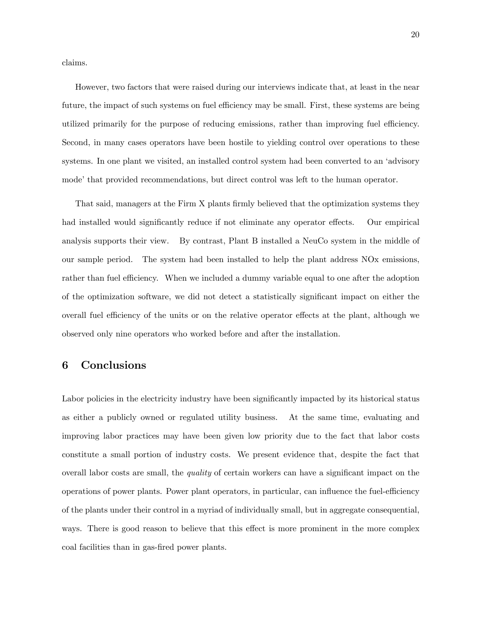claims.

However, two factors that were raised during our interviews indicate that, at least in the near future, the impact of such systems on fuel efficiency may be small. First, these systems are being utilized primarily for the purpose of reducing emissions, rather than improving fuel efficiency. Second, in many cases operators have been hostile to yielding control over operations to these systems. In one plant we visited, an installed control system had been converted to an 'advisory mode' that provided recommendations, but direct control was left to the human operator.

That said, managers at the Firm X plants firmly believed that the optimization systems they had installed would significantly reduce if not eliminate any operator effects. Our empirical analysis supports their view. By contrast, Plant B installed a NeuCo system in the middle of our sample period. The system had been installed to help the plant address NOx emissions, rather than fuel efficiency. When we included a dummy variable equal to one after the adoption of the optimization software, we did not detect a statistically signicant impact on either the overall fuel efficiency of the units or on the relative operator effects at the plant, although we observed only nine operators who worked before and after the installation.

## 6 Conclusions

Labor policies in the electricity industry have been significantly impacted by its historical status as either a publicly owned or regulated utility business. At the same time, evaluating and improving labor practices may have been given low priority due to the fact that labor costs constitute a small portion of industry costs. We present evidence that, despite the fact that overall labor costs are small, the *quality* of certain workers can have a significant impact on the operations of power plants. Power plant operators, in particular, can influence the fuel-efficiency of the plants under their control in a myriad of individually small, but in aggregate consequential, ways. There is good reason to believe that this effect is more prominent in the more complex coal facilities than in gas-fired power plants.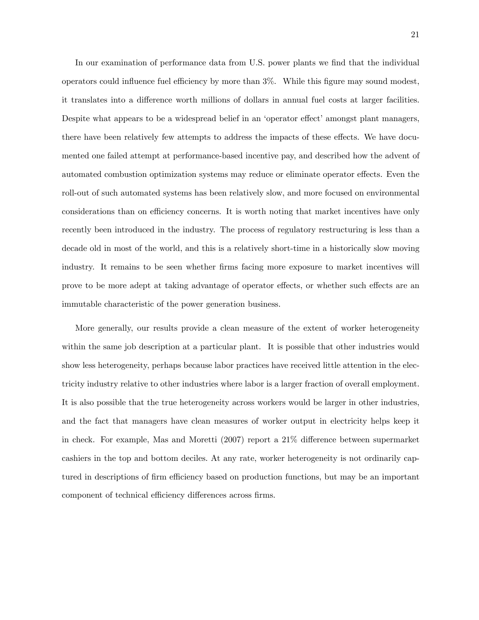In our examination of performance data from U.S. power plants we find that the individual operators could influence fuel efficiency by more than  $3\%$ . While this figure may sound modest, it translates into a difference worth millions of dollars in annual fuel costs at larger facilities. Despite what appears to be a widespread belief in an 'operator effect' amongst plant managers, there have been relatively few attempts to address the impacts of these effects. We have documented one failed attempt at performance-based incentive pay, and described how the advent of automated combustion optimization systems may reduce or eliminate operator effects. Even the roll-out of such automated systems has been relatively slow, and more focused on environmental considerations than on efficiency concerns. It is worth noting that market incentives have only recently been introduced in the industry. The process of regulatory restructuring is less than a decade old in most of the world, and this is a relatively short-time in a historically slow moving industry. It remains to be seen whether firms facing more exposure to market incentives will prove to be more adept at taking advantage of operator effects, or whether such effects are an immutable characteristic of the power generation business.

More generally, our results provide a clean measure of the extent of worker heterogeneity within the same job description at a particular plant. It is possible that other industries would show less heterogeneity, perhaps because labor practices have received little attention in the electricity industry relative to other industries where labor is a larger fraction of overall employment. It is also possible that the true heterogeneity across workers would be larger in other industries, and the fact that managers have clean measures of worker output in electricity helps keep it in check. For example, Mas and Moretti  $(2007)$  report a  $21\%$  difference between supermarket cashiers in the top and bottom deciles. At any rate, worker heterogeneity is not ordinarily captured in descriptions of firm efficiency based on production functions, but may be an important component of technical efficiency differences across firms.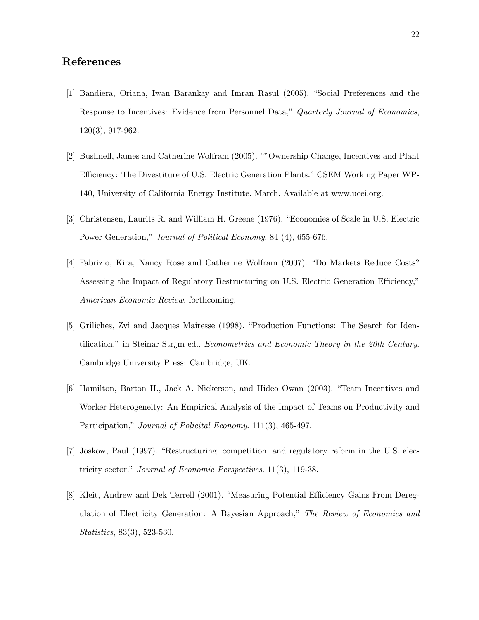## References

- [1] Bandiera, Oriana, Iwan Barankay and Imran Rasul (2005). "Social Preferences and the Response to Incentives: Evidence from Personnel Data," Quarterly Journal of Economics, 120(3), 917-962.
- [2] Bushnell, James and Catherine Wolfram (2005). \"Ownership Change, Incentives and Plant Efficiency: The Divestiture of U.S. Electric Generation Plants." CSEM Working Paper WP-140, University of California Energy Institute. March. Available at www.ucei.org.
- [3] Christensen, Laurits R. and William H. Greene (1976). \Economies of Scale in U.S. Electric Power Generation," Journal of Political Economy, 84 (4), 655-676.
- [4] Fabrizio, Kira, Nancy Rose and Catherine Wolfram (2007). "Do Markets Reduce Costs? Assessing the Impact of Regulatory Restructuring on U.S. Electric Generation Efficiency," American Economic Review, forthcoming.
- [5] Griliches, Zvi and Jacques Mairesse (1998). \Production Functions: The Search for Identification," in Steinar Str<sub>i</sub>m ed., *Econometrics and Economic Theory in the 20th Century.* Cambridge University Press: Cambridge, UK.
- [6] Hamilton, Barton H., Jack A. Nickerson, and Hideo Owan (2003). \Team Incentives and Worker Heterogeneity: An Empirical Analysis of the Impact of Teams on Productivity and Participation," Journal of Policital Economy. 111(3), 465-497.
- [7] Joskow, Paul (1997). "Restructuring, competition, and regulatory reform in the U.S. electricity sector." Journal of Economic Perspectives. 11(3), 119-38.
- [8] Kleit, Andrew and Dek Terrell (2001). "Measuring Potential Efficiency Gains From Deregulation of Electricity Generation: A Bayesian Approach," The Review of Economics and Statistics, 83(3), 523-530.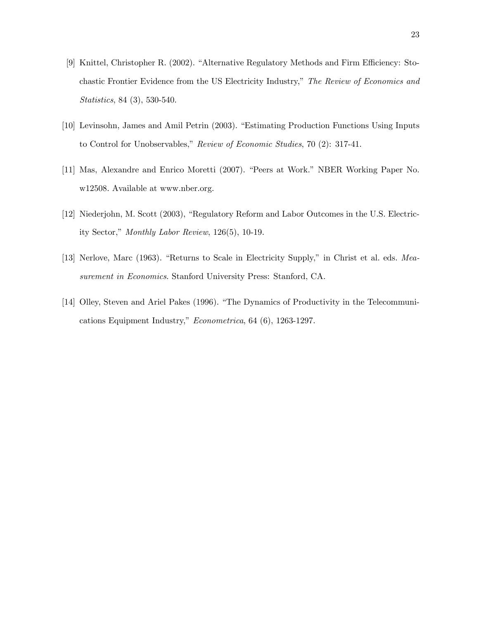- [9] Knittel, Christopher R. (2002). "Alternative Regulatory Methods and Firm Efficiency: Stochastic Frontier Evidence from the US Electricity Industry," The Review of Economics and Statistics, 84 (3), 530-540.
- [10] Levinsohn, James and Amil Petrin (2003). \Estimating Production Functions Using Inputs to Control for Unobservables," Review of Economic Studies, 70 (2): 317-41.
- [11] Mas, Alexandre and Enrico Moretti (2007). "Peers at Work." NBER Working Paper No. w12508. Available at www.nber.org.
- [12] Niederjohn, M. Scott (2003), "Regulatory Reform and Labor Outcomes in the U.S. Electricity Sector," Monthly Labor Review, 126(5), 10-19.
- [13] Nerlove, Marc (1963). "Returns to Scale in Electricity Supply," in Christ et al. eds. Measurement in Economics. Stanford University Press: Stanford, CA.
- [14] Olley, Steven and Ariel Pakes (1996). "The Dynamics of Productivity in the Telecommunications Equipment Industry," Econometrica, 64 (6), 1263-1297.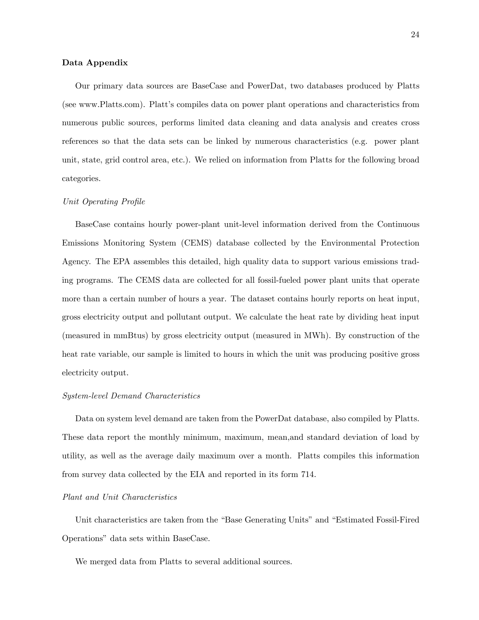#### Data Appendix

Our primary data sources are BaseCase and PowerDat, two databases produced by Platts (see www.Platts.com). Platt's compiles data on power plant operations and characteristics from numerous public sources, performs limited data cleaning and data analysis and creates cross references so that the data sets can be linked by numerous characteristics (e.g. power plant unit, state, grid control area, etc.). We relied on information from Platts for the following broad categories.

#### Unit Operating Profile

BaseCase contains hourly power-plant unit-level information derived from the Continuous Emissions Monitoring System (CEMS) database collected by the Environmental Protection Agency. The EPA assembles this detailed, high quality data to support various emissions trading programs. The CEMS data are collected for all fossil-fueled power plant units that operate more than a certain number of hours a year. The dataset contains hourly reports on heat input, gross electricity output and pollutant output. We calculate the heat rate by dividing heat input (measured in mmBtus) by gross electricity output (measured in MWh). By construction of the heat rate variable, our sample is limited to hours in which the unit was producing positive gross electricity output.

#### System-level Demand Characteristics

Data on system level demand are taken from the PowerDat database, also compiled by Platts. These data report the monthly minimum, maximum, mean,and standard deviation of load by utility, as well as the average daily maximum over a month. Platts compiles this information from survey data collected by the EIA and reported in its form 714.

#### Plant and Unit Characteristics

Unit characteristics are taken from the "Base Generating Units" and "Estimated Fossil-Fired Operations" data sets within BaseCase.

We merged data from Platts to several additional sources.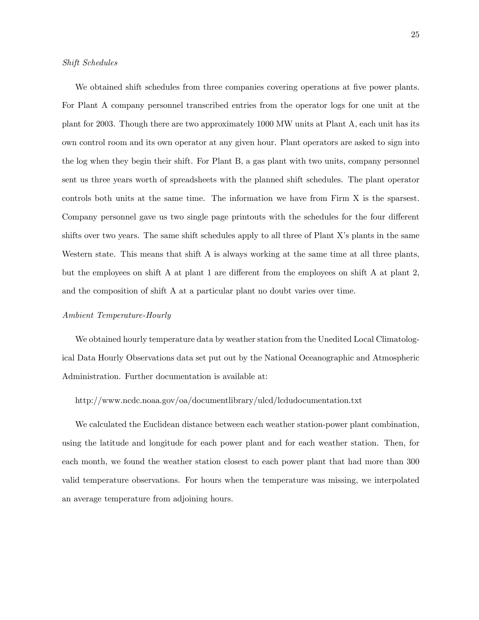We obtained shift schedules from three companies covering operations at five power plants. For Plant A company personnel transcribed entries from the operator logs for one unit at the plant for 2003. Though there are two approximately 1000 MW units at Plant A, each unit has its own control room and its own operator at any given hour. Plant operators are asked to sign into the log when they begin their shift. For Plant B, a gas plant with two units, company personnel sent us three years worth of spreadsheets with the planned shift schedules. The plant operator controls both units at the same time. The information we have from Firm X is the sparsest. Company personnel gave us two single page printouts with the schedules for the four different shifts over two years. The same shift schedules apply to all three of Plant X's plants in the same Western state. This means that shift A is always working at the same time at all three plants, but the employees on shift A at plant 1 are different from the employees on shift A at plant 2, and the composition of shift A at a particular plant no doubt varies over time.

#### Ambient Temperature-Hourly

We obtained hourly temperature data by weather station from the Unedited Local Climatological Data Hourly Observations data set put out by the National Oceanographic and Atmospheric Administration. Further documentation is available at:

http://www.ncdc.noaa.gov/oa/documentlibrary/ulcd/lcdudocumentation.txt

We calculated the Euclidean distance between each weather station-power plant combination, using the latitude and longitude for each power plant and for each weather station. Then, for each month, we found the weather station closest to each power plant that had more than 300 valid temperature observations. For hours when the temperature was missing, we interpolated an average temperature from adjoining hours.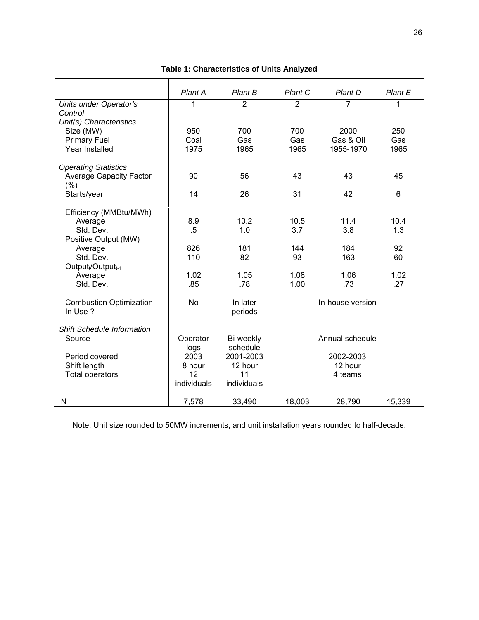|                                            | Plant A      | Plant B        | Plant C          | Plant D   | Plant E |  |
|--------------------------------------------|--------------|----------------|------------------|-----------|---------|--|
|                                            |              | $\overline{2}$ | $\overline{2}$   | 7         | 1       |  |
| Units under Operator's<br>Control          | 1            |                |                  |           |         |  |
| Unit(s) Characteristics                    |              |                |                  |           |         |  |
| Size (MW)                                  | 950          | 700            | 700              | 2000      | 250     |  |
| <b>Primary Fuel</b>                        | Coal         | Gas            | Gas              | Gas & Oil | Gas     |  |
| Year Installed                             | 1975         | 1965           | 1965             | 1955-1970 | 1965    |  |
|                                            |              |                |                  |           |         |  |
| <b>Operating Statistics</b>                |              |                |                  |           |         |  |
| <b>Average Capacity Factor</b>             | 90           | 56             | 43               | 43        | 45      |  |
| $(\% )$                                    |              |                |                  |           |         |  |
| Starts/year                                | 14           | 26             | 31               | 42        | 6       |  |
|                                            |              |                |                  |           |         |  |
| Efficiency (MMBtu/MWh)                     |              |                |                  |           |         |  |
| Average                                    | 8.9          | 10.2           | 10.5             | 11.4      | 10.4    |  |
| Std. Dev.                                  | $.5\,$       | 1.0            | 3.7              | 3.8       | 1.3     |  |
| Positive Output (MW)                       |              |                |                  |           |         |  |
| Average                                    | 826          | 181            | 144              | 184       | 92      |  |
| Std. Dev.                                  | 110          | 82             | 93               | 163       | 60      |  |
| Output <sub>t</sub> /Output <sub>t-1</sub> |              |                |                  |           |         |  |
| Average                                    | 1.02         | 1.05           | 1.08             | 1.06      | 1.02    |  |
| Std. Dev.                                  | .85          | .78            | 1.00             | .73       | .27     |  |
|                                            |              |                |                  |           |         |  |
| <b>Combustion Optimization</b>             | No           | In later       | In-house version |           |         |  |
| In Use ?                                   |              | periods        |                  |           |         |  |
|                                            |              |                |                  |           |         |  |
| Shift Schedule Information                 |              |                |                  |           |         |  |
| Source                                     | Operator     | Bi-weekly      | Annual schedule  |           |         |  |
|                                            | logs         | schedule       |                  |           |         |  |
| Period covered                             | 2003         | 2001-2003      | 2002-2003        |           |         |  |
| Shift length                               | 8 hour<br>12 | 12 hour        | 12 hour          |           |         |  |
| <b>Total operators</b>                     |              | 11             | 4 teams          |           |         |  |
|                                            | individuals  | individuals    |                  |           |         |  |
| N                                          | 7,578        | 33,490         | 18,003           | 28,790    | 15,339  |  |

**Table 1: Characteristics of Units Analyzed** 

Note: Unit size rounded to 50MW increments, and unit installation years rounded to half-decade.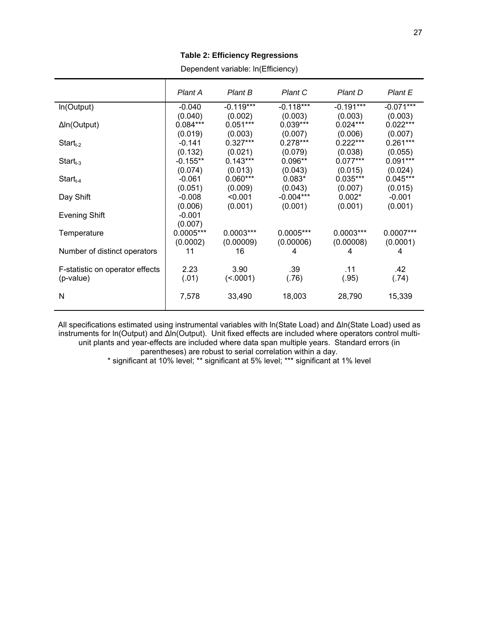#### **Table 2: Efficiency Regressions**

Dependent variable: ln(Efficiency)

|                                 | Plant A     | Plant B     | <b>Plant C</b> | Plant D     | <b>Plant E</b> |
|---------------------------------|-------------|-------------|----------------|-------------|----------------|
| In(Output)                      | $-0.040$    | $-0.119***$ | $-0.118***$    | $-0.191***$ | $-0.071***$    |
|                                 | (0.040)     | (0.002)     | (0.003)        | (0.003)     | (0.003)        |
| $\Delta$ In(Output)             | $0.084***$  | $0.051***$  | $0.039***$     | $0.024***$  | $0.022***$     |
|                                 | (0.019)     | (0.003)     | (0.007)        | (0.006)     | (0.007)        |
| $Start_{t-2}$                   | $-0.141$    | $0.327***$  | $0.278***$     | $0.222***$  | $0.261***$     |
|                                 | (0.132)     | (0.021)     | (0.079)        | (0.038)     | (0.055)        |
| $Start_{t-3}$                   | $-0.155**$  | $0.143***$  | $0.096**$      | $0.077***$  | $0.091***$     |
|                                 | (0.074)     | (0.013)     | (0.043)        | (0.015)     | (0.024)        |
| $Start_{t-4}$                   | $-0.061$    | $0.060***$  | $0.083*$       | $0.035***$  | $0.045***$     |
|                                 | (0.051)     | (0.009)     | (0.043)        | (0.007)     | (0.015)        |
| Day Shift                       | $-0.008$    | < 0.001     | $-0.004***$    | $0.002*$    | $-0.001$       |
|                                 | (0.006)     | (0.001)     | (0.001)        | (0.001)     | (0.001)        |
| <b>Evening Shift</b>            | $-0.001$    |             |                |             |                |
|                                 | (0.007)     |             |                |             |                |
| Temperature                     | $0.0005***$ | $0.0003***$ | $0.0005***$    | $0.0003***$ | $0.0007***$    |
|                                 | (0.0002)    | (0.00009)   | (0.00006)      | (0.00008)   | (0.0001)       |
| Number of distinct operators    | 11          | 16          | 4              | 4           | 4              |
|                                 |             |             |                |             |                |
| F-statistic on operator effects | 2.23        | 3.90        | .39            | .11         | .42            |
| (p-value)                       | (.01)       | (< .0001)   | (.76)          | (.95)       | (.74)          |
|                                 |             |             |                |             |                |
| N                               | 7,578       | 33,490      | 18,003         | 28,790      | 15,339         |
|                                 |             |             |                |             |                |
|                                 |             |             |                |             |                |

All specifications estimated using instrumental variables with ln(State Load) and ∆ln(State Load) used as instruments for ln(Output) and ∆ln(Output). Unit fixed effects are included where operators control multiunit plants and year-effects are included where data span multiple years. Standard errors (in parentheses) are robust to serial correlation within a day. \* significant at 10% level; \*\* significant at 5% level; \*\*\* significant at 1% level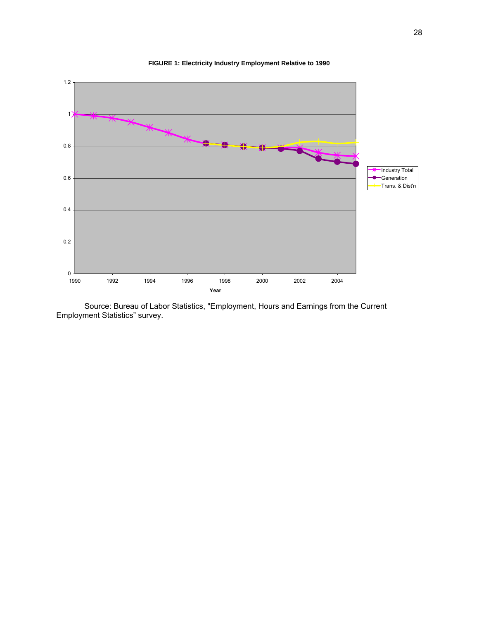

**FIGURE 1: Electricity Industry Employment Relative to 1990**

Source: Bureau of Labor Statistics, "Employment, Hours and Earnings from the Current Employment Statistics" survey.